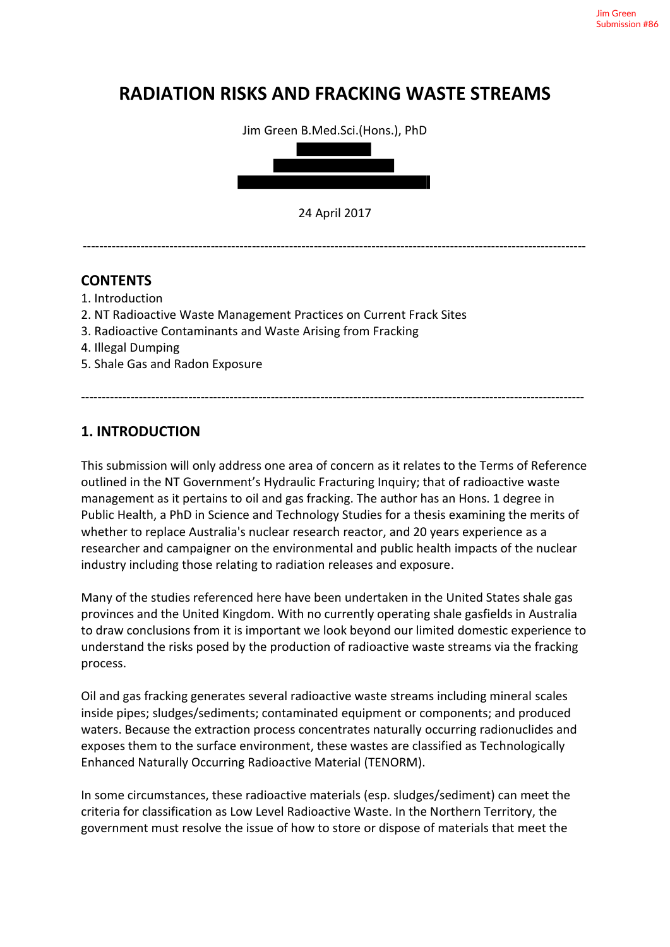# **RADIATION RISKS AND FRACKING WASTE STREAMS**

Jim Green B.Med.Sci.(Hons.), PhD



24 April 2017

--------------------------------------------------------------------------------------------------------------------------

### **CONTENTS**

- 1. Introduction
- 2. NT Radioactive Waste Management Practices on Current Frack Sites
- 3. Radioactive Contaminants and Waste Arising from Fracking
- 4. Illegal Dumping
- 5. Shale Gas and Radon Exposure

### **1. INTRODUCTION**

This submission will only address one area of concern as it relates to the Terms of Reference outlined in the NT Government's Hydraulic Fracturing Inquiry; that of radioactive waste management as it pertains to oil and gas fracking. The author has an Hons. 1 degree in Public Health, a PhD in Science and Technology Studies for a thesis examining the merits of whether to replace Australia's nuclear research reactor, and 20 years experience as a researcher and campaigner on the environmental and public health impacts of the nuclear industry including those relating to radiation releases and exposure.

--------------------------------------------------------------------------------------------------------------------------

Many of the studies referenced here have been undertaken in the United States shale gas provinces and the United Kingdom. With no currently operating shale gasfields in Australia to draw conclusions from it is important we look beyond our limited domestic experience to understand the risks posed by the production of radioactive waste streams via the fracking process.

Oil and gas fracking generates several radioactive waste streams including mineral scales inside pipes; sludges/sediments; contaminated equipment or components; and produced waters. Because the extraction process concentrates naturally occurring radionuclides and exposes them to the surface environment, these wastes are classified as Technologically Enhanced Naturally Occurring Radioactive Material (TENORM).

In some circumstances, these radioactive materials (esp. sludges/sediment) can meet the criteria for classification as Low Level Radioactive Waste. In the Northern Territory, the government must resolve the issue of how to store or dispose of materials that meet the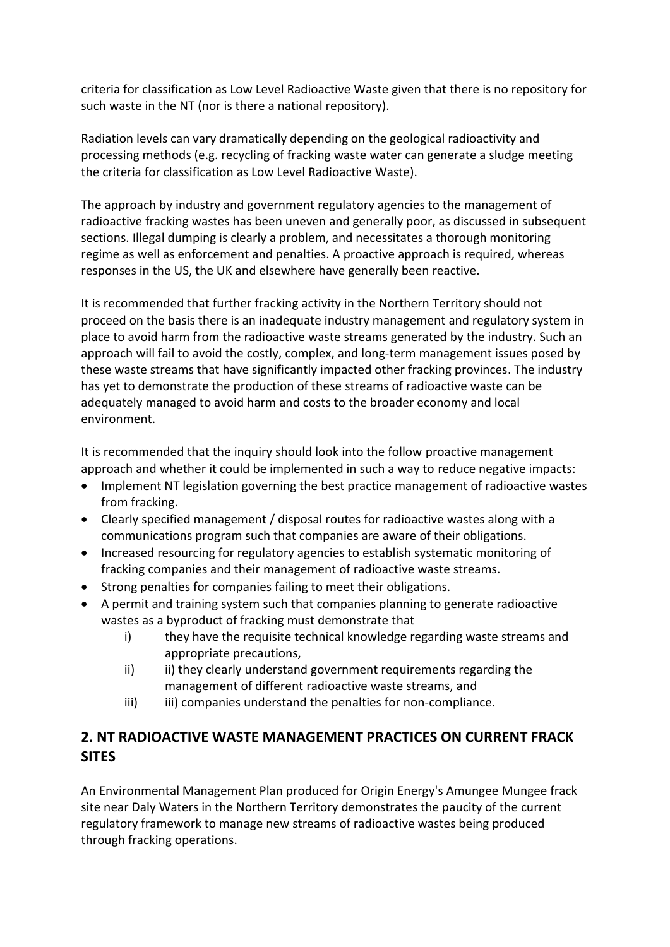criteria for classification as Low Level Radioactive Waste given that there is no repository for such waste in the NT (nor is there a national repository).

Radiation levels can vary dramatically depending on the geological radioactivity and processing methods (e.g. recycling of fracking waste water can generate a sludge meeting the criteria for classification as Low Level Radioactive Waste).

The approach by industry and government regulatory agencies to the management of radioactive fracking wastes has been uneven and generally poor, as discussed in subsequent sections. Illegal dumping is clearly a problem, and necessitates a thorough monitoring regime as well as enforcement and penalties. A proactive approach is required, whereas responses in the US, the UK and elsewhere have generally been reactive.

It is recommended that further fracking activity in the Northern Territory should not proceed on the basis there is an inadequate industry management and regulatory system in place to avoid harm from the radioactive waste streams generated by the industry. Such an approach will fail to avoid the costly, complex, and long-term management issues posed by these waste streams that have significantly impacted other fracking provinces. The industry has yet to demonstrate the production of these streams of radioactive waste can be adequately managed to avoid harm and costs to the broader economy and local environment.

It is recommended that the inquiry should look into the follow proactive management approach and whether it could be implemented in such a way to reduce negative impacts:

- Implement NT legislation governing the best practice management of radioactive wastes from fracking.
- Clearly specified management / disposal routes for radioactive wastes along with a communications program such that companies are aware of their obligations.
- Increased resourcing for regulatory agencies to establish systematic monitoring of fracking companies and their management of radioactive waste streams.
- Strong penalties for companies failing to meet their obligations.
- A permit and training system such that companies planning to generate radioactive wastes as a byproduct of fracking must demonstrate that
	- i) they have the requisite technical knowledge regarding waste streams and appropriate precautions,
	- ii) ii) they clearly understand government requirements regarding the management of different radioactive waste streams, and
	- iii) iii) companies understand the penalties for non-compliance.

# **2. NT RADIOACTIVE WASTE MANAGEMENT PRACTICES ON CURRENT FRACK SITES**

An Environmental Management Plan produced for Origin Energy's Amungee Mungee frack site near Daly Waters in the Northern Territory demonstrates the paucity of the current regulatory framework to manage new streams of radioactive wastes being produced through fracking operations.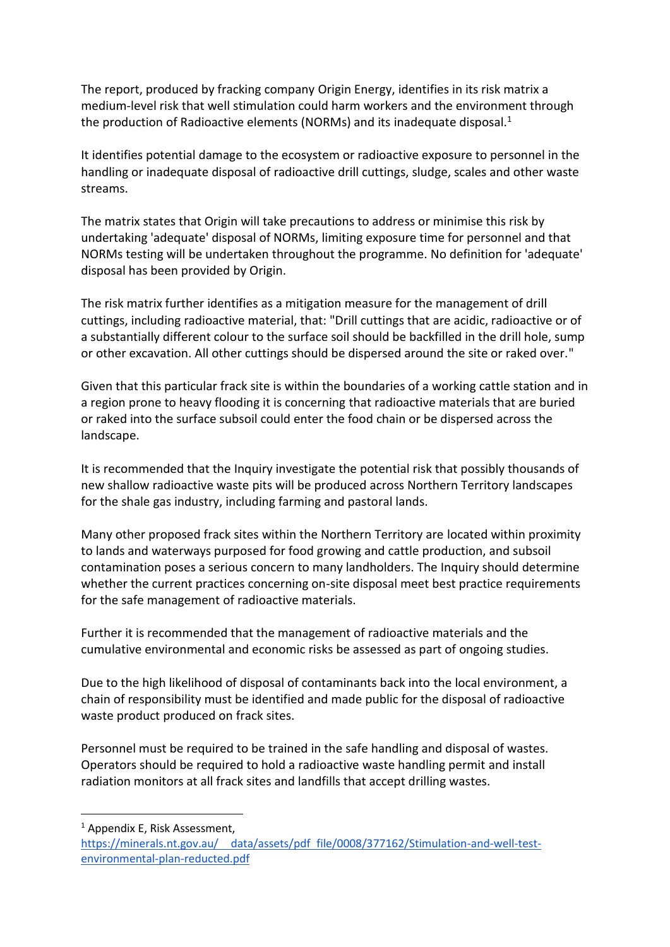The report, produced by fracking company Origin Energy, identifies in its risk matrix a medium-level risk that well stimulation could harm workers and the environment through the production of Radioactive elements (NORMs) and its inadequate disposal.<sup>1</sup>

It identifies potential damage to the ecosystem or radioactive exposure to personnel in the handling or inadequate disposal of radioactive drill cuttings, sludge, scales and other waste streams.

The matrix states that Origin will take precautions to address or minimise this risk by undertaking 'adequate' disposal of NORMs, limiting exposure time for personnel and that NORMs testing will be undertaken throughout the programme. No definition for 'adequate' disposal has been provided by Origin.

The risk matrix further identifies as a mitigation measure for the management of drill cuttings, including radioactive material, that: "Drill cuttings that are acidic, radioactive or of a substantially different colour to the surface soil should be backfilled in the drill hole, sump or other excavation. All other cuttings should be dispersed around the site or raked over."

Given that this particular frack site is within the boundaries of a working cattle station and in a region prone to heavy flooding it is concerning that radioactive materials that are buried or raked into the surface subsoil could enter the food chain or be dispersed across the landscape.

It is recommended that the Inquiry investigate the potential risk that possibly thousands of new shallow radioactive waste pits will be produced across Northern Territory landscapes for the shale gas industry, including farming and pastoral lands.

Many other proposed frack sites within the Northern Territory are located within proximity to lands and waterways purposed for food growing and cattle production, and subsoil contamination poses a serious concern to many landholders. The Inquiry should determine whether the current practices concerning on-site disposal meet best practice requirements for the safe management of radioactive materials.

Further it is recommended that the management of radioactive materials and the cumulative environmental and economic risks be assessed as part of ongoing studies.

Due to the high likelihood of disposal of contaminants back into the local environment, a chain of responsibility must be identified and made public for the disposal of radioactive waste product produced on frack sites.

Personnel must be required to be trained in the safe handling and disposal of wastes. Operators should be required to hold a radioactive waste handling permit and install radiation monitors at all frack sites and landfills that accept drilling wastes.

<sup>1</sup> Appendix E, Risk Assessment,

https://minerals.nt.gov.au/ data/assets/pdf file/0008/377162/Stimulation-and-well-testenvironmental-plan-reducted.pdf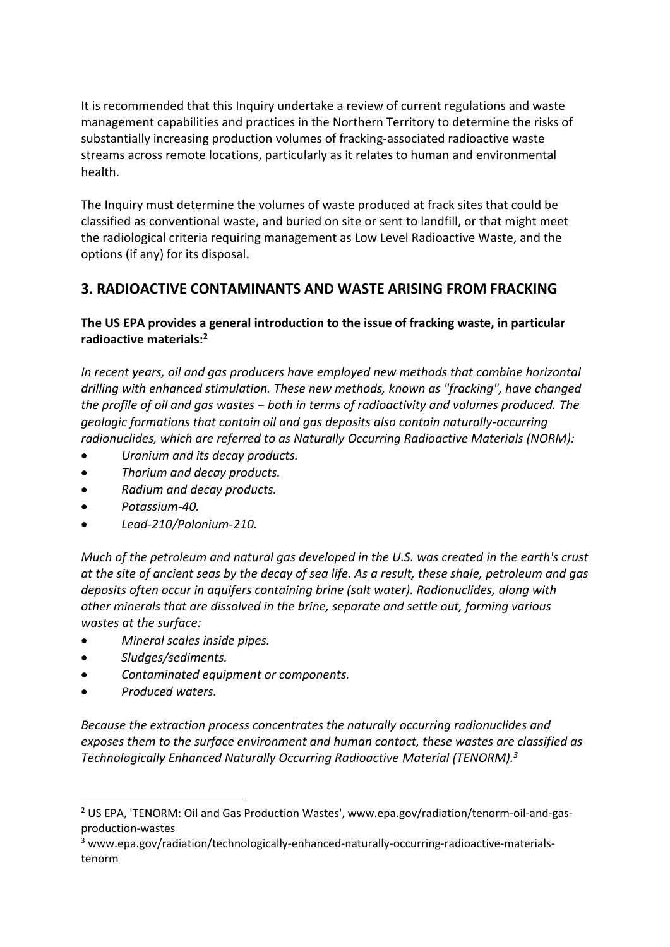It is recommended that this Inquiry undertake a review of current regulations and waste management capabilities and practices in the Northern Territory to determine the risks of substantially increasing production volumes of fracking-associated radioactive waste streams across remote locations, particularly as it relates to human and environmental health.

The Inquiry must determine the volumes of waste produced at frack sites that could be classified as conventional waste, and buried on site or sent to landfill, or that might meet the radiological criteria requiring management as Low Level Radioactive Waste, and the options (if any) for its disposal.

# **3. RADIOACTIVE CONTAMINANTS AND WASTE ARISING FROM FRACKING**

**The US EPA provides a general introduction to the issue of fracking waste, in particular radioactive materials:<sup>2</sup>**

*In recent years, oil and gas producers have employed new methods that combine horizontal drilling with enhanced stimulation. These new methods, known as "fracking", have changed the profile of oil and gas wastes ‒ both in terms of radioactivity and volumes produced. The geologic formations that contain oil and gas deposits also contain naturally-occurring radionuclides, which are referred to as Naturally Occurring Radioactive Materials (NORM):*

- *Uranium and its decay products.*
- *Thorium and decay products.*
- *Radium and decay products.*
- *Potassium-40.*
- *Lead-210/Polonium-210.*

*Much of the petroleum and natural gas developed in the U.S. was created in the earth's crust at the site of ancient seas by the decay of sea life. As a result, these shale, petroleum and gas deposits often occur in aquifers containing brine (salt water). Radionuclides, along with other minerals that are dissolved in the brine, separate and settle out, forming various wastes at the surface:*

- *Mineral scales inside pipes.*
- *Sludges/sediments.*
- *Contaminated equipment or components.*
- *Produced waters.*

1

*Because the extraction process concentrates the naturally occurring radionuclides and exposes them to the surface environment and human contact, these wastes are classified as Technologically Enhanced Naturally Occurring Radioactive Material (TENORM).<sup>3</sup>*

 $2$  US EPA, 'TENORM: Oil and Gas Production Wastes', www.epa.gov/radiation/tenorm-oil-and-gasproduction-wastes

<sup>&</sup>lt;sup>3</sup> www.epa.gov/radiation/technologically-enhanced-naturally-occurring-radioactive-materialstenorm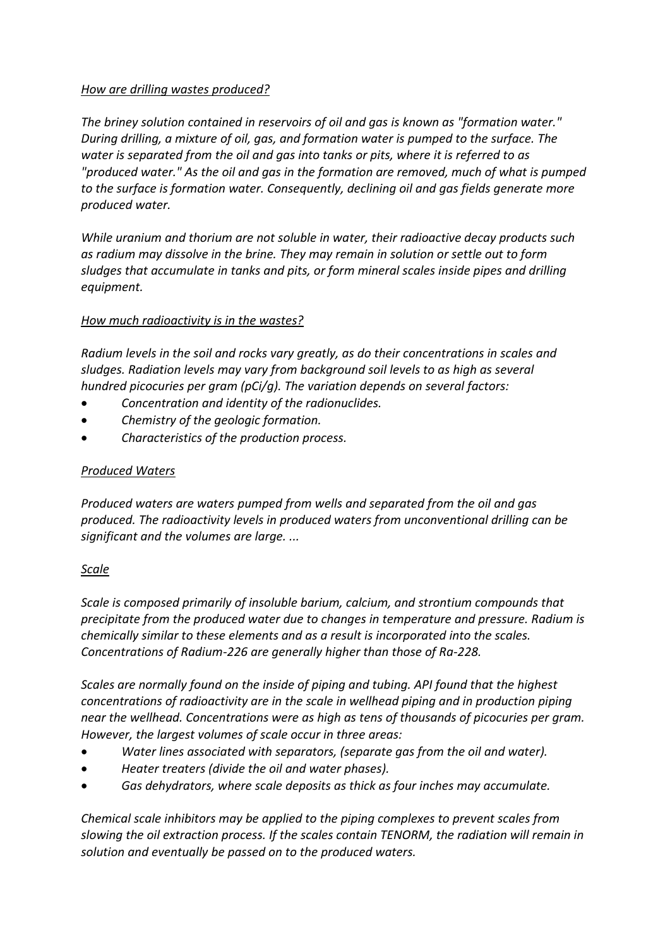#### *How are drilling wastes produced?*

*The briney solution contained in reservoirs of oil and gas is known as "formation water." During drilling, a mixture of oil, gas, and formation water is pumped to the surface. The water is separated from the oil and gas into tanks or pits, where it is referred to as "produced water." As the oil and gas in the formation are removed, much of what is pumped to the surface is formation water. Consequently, declining oil and gas fields generate more produced water.*

*While uranium and thorium are not soluble in water, their radioactive decay products such as radium may dissolve in the brine. They may remain in solution or settle out to form sludges that accumulate in tanks and pits, or form mineral scales inside pipes and drilling equipment.*

#### *How much radioactivity is in the wastes?*

*Radium levels in the soil and rocks vary greatly, as do their concentrations in scales and sludges. Radiation levels may vary from background soil levels to as high as several hundred picocuries per gram (pCi/g). The variation depends on several factors:*

- *Concentration and identity of the radionuclides.*
- *Chemistry of the geologic formation.*
- *Characteristics of the production process.*

#### *Produced Waters*

*Produced waters are waters pumped from wells and separated from the oil and gas produced. The radioactivity levels in produced waters from unconventional drilling can be significant and the volumes are large. ...*

#### *Scale*

*Scale is composed primarily of insoluble barium, calcium, and strontium compounds that precipitate from the produced water due to changes in temperature and pressure. Radium is chemically similar to these elements and as a result is incorporated into the scales. Concentrations of Radium-226 are generally higher than those of Ra-228.*

*Scales are normally found on the inside of piping and tubing. API found that the highest concentrations of radioactivity are in the scale in wellhead piping and in production piping near the wellhead. Concentrations were as high as tens of thousands of picocuries per gram. However, the largest volumes of scale occur in three areas:*

- *Water lines associated with separators, (separate gas from the oil and water).*
- *Heater treaters (divide the oil and water phases).*
- *Gas dehydrators, where scale deposits as thick as four inches may accumulate.*

*Chemical scale inhibitors may be applied to the piping complexes to prevent scales from slowing the oil extraction process. If the scales contain TENORM, the radiation will remain in solution and eventually be passed on to the produced waters.*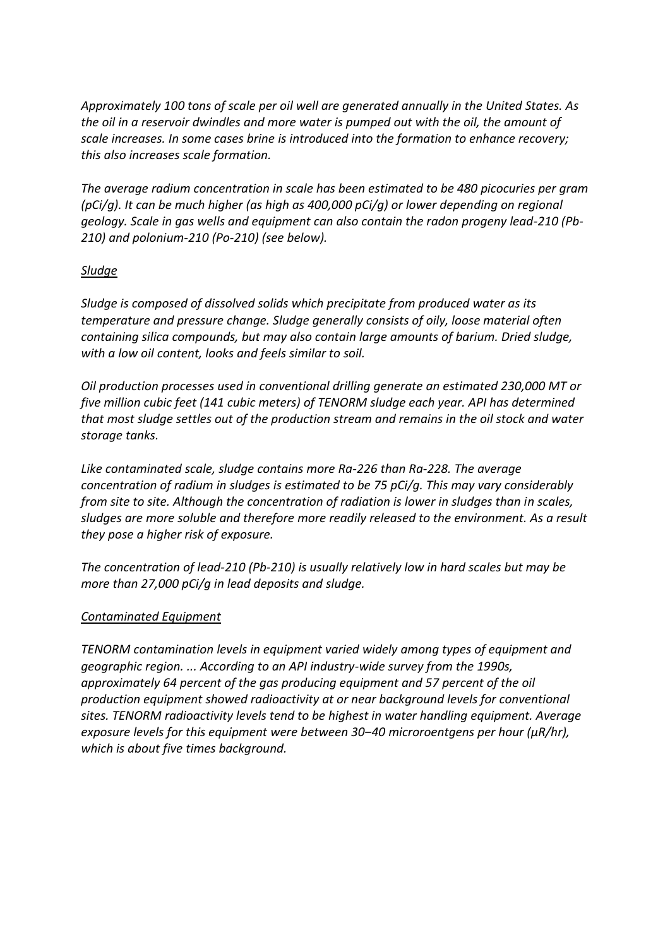*Approximately 100 tons of scale per oil well are generated annually in the United States. As the oil in a reservoir dwindles and more water is pumped out with the oil, the amount of scale increases. In some cases brine is introduced into the formation to enhance recovery; this also increases scale formation.*

*The average radium concentration in scale has been estimated to be 480 picocuries per gram (pCi/g). It can be much higher (as high as 400,000 pCi/g) or lower depending on regional geology. Scale in gas wells and equipment can also contain the radon progeny lead-210 (Pb-210) and polonium-210 (Po-210) (see below).*

#### *Sludge*

*Sludge is composed of dissolved solids which precipitate from produced water as its temperature and pressure change. Sludge generally consists of oily, loose material often containing silica compounds, but may also contain large amounts of barium. Dried sludge, with a low oil content, looks and feels similar to soil.*

*Oil production processes used in conventional drilling generate an estimated 230,000 MT or five million cubic feet (141 cubic meters) of TENORM sludge each year. API has determined that most sludge settles out of the production stream and remains in the oil stock and water storage tanks.*

*Like contaminated scale, sludge contains more Ra-226 than Ra-228. The average concentration of radium in sludges is estimated to be 75 pCi/g. This may vary considerably from site to site. Although the concentration of radiation is lower in sludges than in scales, sludges are more soluble and therefore more readily released to the environment. As a result they pose a higher risk of exposure.*

*The concentration of lead-210 (Pb-210) is usually relatively low in hard scales but may be more than 27,000 pCi/g in lead deposits and sludge.*

#### *Contaminated Equipment*

*TENORM contamination levels in equipment varied widely among types of equipment and geographic region. ... According to an API industry-wide survey from the 1990s, approximately 64 percent of the gas producing equipment and 57 percent of the oil production equipment showed radioactivity at or near background levels for conventional sites. TENORM radioactivity levels tend to be highest in water handling equipment. Average exposure levels for this equipment were between 30‒40 microroentgens per hour (μR/hr), which is about five times background.*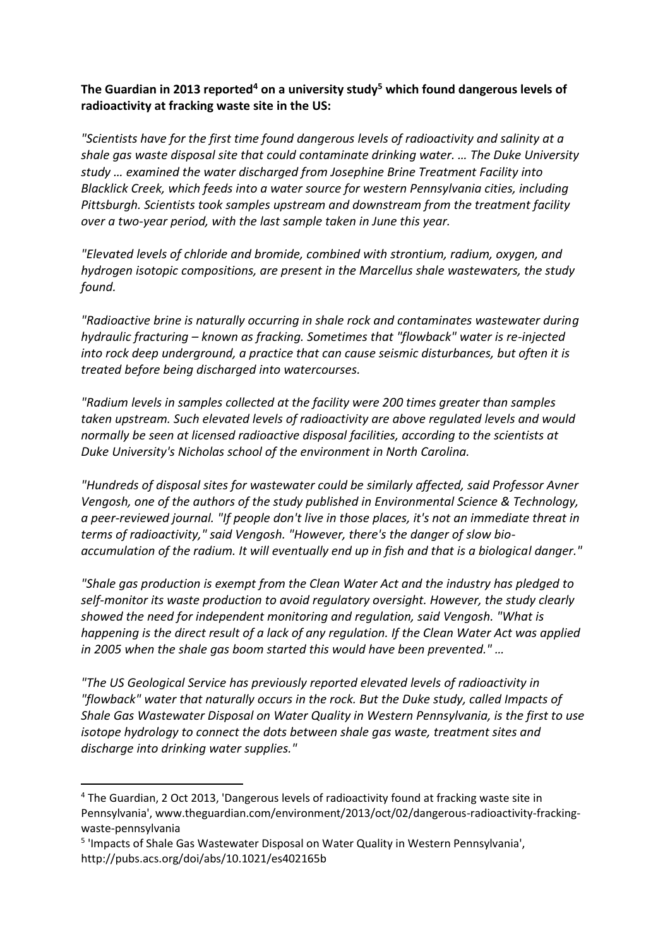#### **The Guardian in 2013 reported<sup>4</sup> on a university study<sup>5</sup> which found dangerous levels of radioactivity at fracking waste site in the US:**

*"Scientists have for the first time found dangerous levels of radioactivity and salinity at a shale gas waste disposal site that could contaminate drinking water. … The Duke University study … examined the water discharged from Josephine Brine Treatment Facility into Blacklick Creek, which feeds into a water source for western Pennsylvania cities, including Pittsburgh. Scientists took samples upstream and downstream from the treatment facility over a two-year period, with the last sample taken in June this year.*

*"Elevated levels of chloride and bromide, combined with strontium, radium, oxygen, and hydrogen isotopic compositions, are present in the Marcellus shale wastewaters, the study found.*

*"Radioactive brine is naturally occurring in shale rock and contaminates wastewater during hydraulic fracturing – known as fracking. Sometimes that "flowback" water is re-injected into rock deep underground, a practice that can cause seismic disturbances, but often it is treated before being discharged into watercourses.*

*"Radium levels in samples collected at the facility were 200 times greater than samples taken upstream. Such elevated levels of radioactivity are above regulated levels and would normally be seen at licensed radioactive disposal facilities, according to the scientists at Duke University's Nicholas school of the environment in North Carolina.*

*"Hundreds of disposal sites for wastewater could be similarly affected, said Professor Avner Vengosh, one of the authors of the study published in Environmental Science & Technology, a peer-reviewed journal. "If people don't live in those places, it's not an immediate threat in terms of radioactivity," said Vengosh. "However, there's the danger of slow bioaccumulation of the radium. It will eventually end up in fish and that is a biological danger."*

*"Shale gas production is exempt from the Clean Water Act and the industry has pledged to self-monitor its waste production to avoid regulatory oversight. However, the study clearly showed the need for independent monitoring and regulation, said Vengosh. "What is happening is the direct result of a lack of any regulation. If the Clean Water Act was applied in 2005 when the shale gas boom started this would have been prevented." …*

*"The US Geological Service has previously reported elevated levels of radioactivity in "flowback" water that naturally occurs in the rock. But the Duke study, called Impacts of Shale Gas Wastewater Disposal on Water Quality in Western Pennsylvania, is the first to use isotope hydrology to connect the dots between shale gas waste, treatment sites and discharge into drinking water supplies."*

<sup>4</sup> The Guardian, 2 Oct 2013, 'Dangerous levels of radioactivity found at fracking waste site in Pennsylvania', www.theguardian.com/environment/2013/oct/02/dangerous-radioactivity-frackingwaste-pennsylvania

<sup>&</sup>lt;sup>5</sup> 'Impacts of Shale Gas Wastewater Disposal on Water Quality in Western Pennsylvania', http://pubs.acs.org/doi/abs/10.1021/es402165b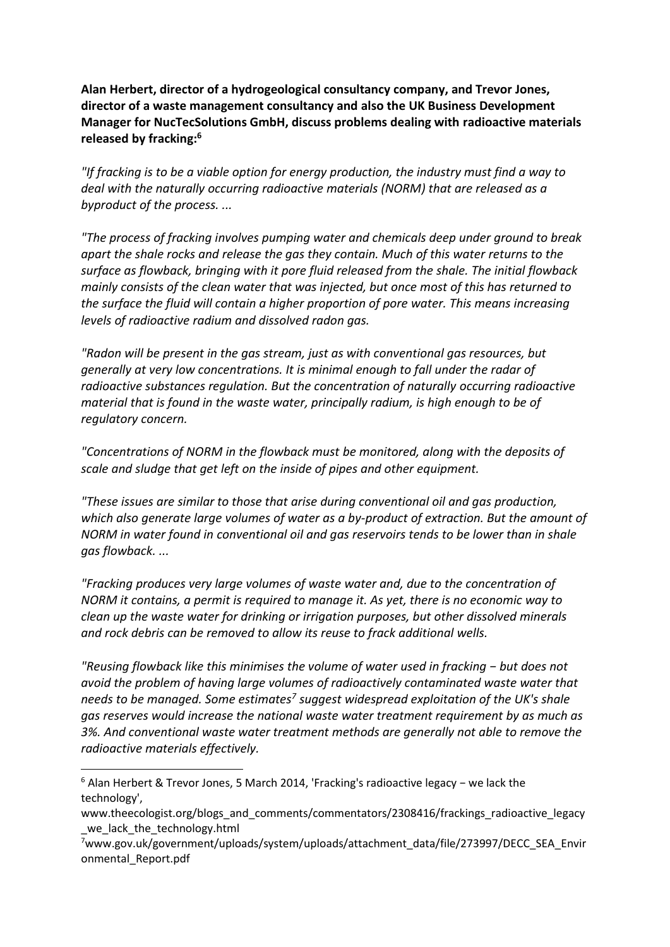**Alan Herbert, director of a hydrogeological consultancy company, and Trevor Jones, director of a waste management consultancy and also the UK Business Development Manager for NucTecSolutions GmbH, discuss problems dealing with radioactive materials released by fracking:<sup>6</sup>**

*"If fracking is to be a viable option for energy production, the industry must find a way to deal with the naturally occurring radioactive materials (NORM) that are released as a byproduct of the process. ...*

*"The process of fracking involves pumping water and chemicals deep under ground to break apart the shale rocks and release the gas they contain. Much of this water returns to the surface as flowback, bringing with it pore fluid released from the shale. The initial flowback mainly consists of the clean water that was injected, but once most of this has returned to the surface the fluid will contain a higher proportion of pore water. This means increasing levels of radioactive radium and dissolved radon gas.*

*"Radon will be present in the gas stream, just as with conventional gas resources, but generally at very low concentrations. It is minimal enough to fall under the radar of radioactive substances regulation. But the concentration of naturally occurring radioactive material that is found in the waste water, principally radium, is high enough to be of regulatory concern.*

*"Concentrations of NORM in the flowback must be monitored, along with the deposits of scale and sludge that get left on the inside of pipes and other equipment.*

*"These issues are similar to those that arise during conventional oil and gas production, which also generate large volumes of water as a by-product of extraction. But the amount of NORM in water found in conventional oil and gas reservoirs tends to be lower than in shale gas flowback. ...*

*"Fracking produces very large volumes of waste water and, due to the concentration of NORM it contains, a permit is required to manage it. As yet, there is no economic way to clean up the waste water for drinking or irrigation purposes, but other dissolved minerals and rock debris can be removed to allow its reuse to frack additional wells.*

*"Reusing flowback like this minimises the volume of water used in fracking − but does not avoid the problem of having large volumes of radioactively contaminated waste water that needs to be managed. Some estimates<sup>7</sup> suggest widespread exploitation of the UK's shale gas reserves would increase the national waste water treatment requirement by as much as 3%. And conventional waste water treatment methods are generally not able to remove the radioactive materials effectively.*

<sup>6</sup> Alan Herbert & Trevor Jones, 5 March 2014, 'Fracking's radioactive legacy − we lack the technology',

www.theecologist.org/blogs\_and\_comments/commentators/2308416/frackings\_radioactive\_legacy we lack the technology.html

<sup>&</sup>lt;sup>7</sup>www.gov.uk/government/uploads/system/uploads/attachment\_data/file/273997/DECC\_SEA\_Envir onmental\_Report.pdf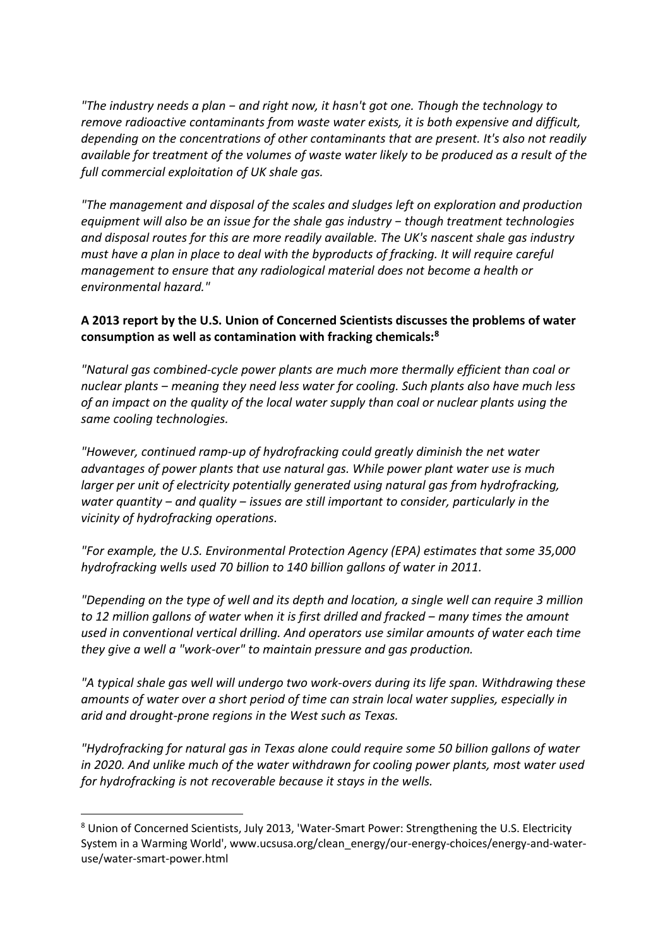*"The industry needs a plan − and right now, it hasn't got one. Though the technology to remove radioactive contaminants from waste water exists, it is both expensive and difficult, depending on the concentrations of other contaminants that are present. It's also not readily available for treatment of the volumes of waste water likely to be produced as a result of the full commercial exploitation of UK shale gas.*

*"The management and disposal of the scales and sludges left on exploration and production equipment will also be an issue for the shale gas industry − though treatment technologies and disposal routes for this are more readily available. The UK's nascent shale gas industry must have a plan in place to deal with the byproducts of fracking. It will require careful management to ensure that any radiological material does not become a health or environmental hazard."*

#### **A 2013 report by the U.S. Union of Concerned Scientists discusses the problems of water consumption as well as contamination with fracking chemicals:<sup>8</sup>**

*"Natural gas combined-cycle power plants are much more thermally efficient than coal or nuclear plants ‒ meaning they need less water for cooling. Such plants also have much less of an impact on the quality of the local water supply than coal or nuclear plants using the same cooling technologies.*

*"However, continued ramp-up of hydrofracking could greatly diminish the net water advantages of power plants that use natural gas. While power plant water use is much larger per unit of electricity potentially generated using natural gas from hydrofracking, water quantity ‒ and quality ‒ issues are still important to consider, particularly in the vicinity of hydrofracking operations.*

*"For example, the U.S. Environmental Protection Agency (EPA) estimates that some 35,000 hydrofracking wells used 70 billion to 140 billion gallons of water in 2011.*

*"Depending on the type of well and its depth and location, a single well can require 3 million*  to 12 million gallons of water when it is first drilled and fracked - many times the amount *used in conventional vertical drilling. And operators use similar amounts of water each time they give a well a "work-over" to maintain pressure and gas production.*

*"A typical shale gas well will undergo two work-overs during its life span. Withdrawing these amounts of water over a short period of time can strain local water supplies, especially in arid and drought-prone regions in the West such as Texas.*

*"Hydrofracking for natural gas in Texas alone could require some 50 billion gallons of water in 2020. And unlike much of the water withdrawn for cooling power plants, most water used for hydrofracking is not recoverable because it stays in the wells.*

<sup>8</sup> Union of Concerned Scientists, July 2013, 'Water-Smart Power: Strengthening the U.S. Electricity System in a Warming World', www.ucsusa.org/clean\_energy/our-energy-choices/energy-and-wateruse/water-smart-power.html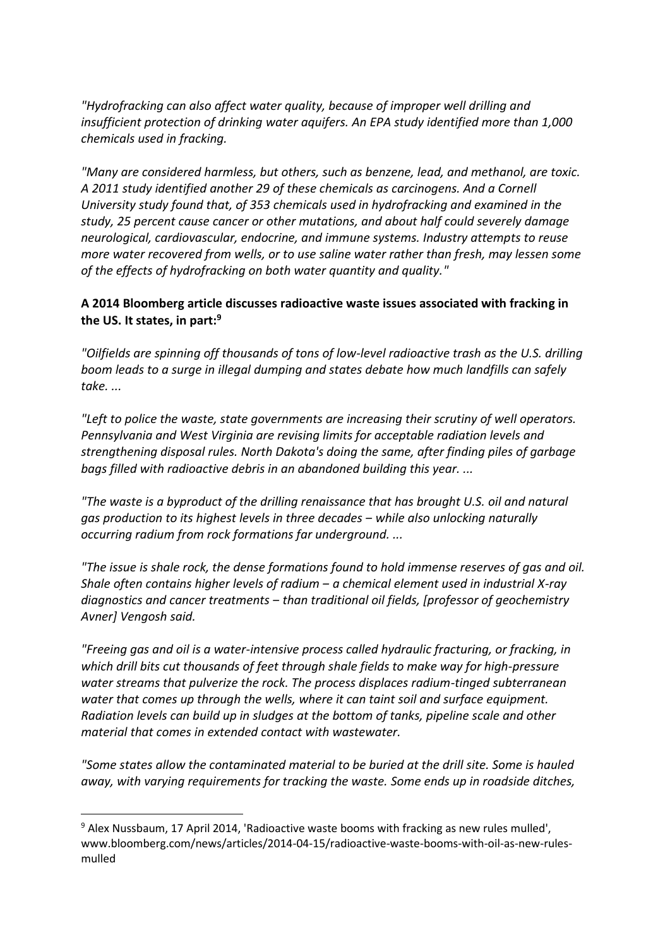*"Hydrofracking can also affect water quality, because of improper well drilling and insufficient protection of drinking water aquifers. An EPA study identified more than 1,000 chemicals used in fracking.*

*"Many are considered harmless, but others, such as benzene, lead, and methanol, are toxic. A 2011 study identified another 29 of these chemicals as carcinogens. And a Cornell University study found that, of 353 chemicals used in hydrofracking and examined in the study, 25 percent cause cancer or other mutations, and about half could severely damage neurological, cardiovascular, endocrine, and immune systems. Industry attempts to reuse more water recovered from wells, or to use saline water rather than fresh, may lessen some of the effects of hydrofracking on both water quantity and quality."*

#### **A 2014 Bloomberg article discusses radioactive waste issues associated with fracking in the US. It states, in part:<sup>9</sup>**

*"Oilfields are spinning off thousands of tons of low-level radioactive trash as the U.S. drilling boom leads to a surge in illegal dumping and states debate how much landfills can safely take. ...* 

*"Left to police the waste, state governments are increasing their scrutiny of well operators. Pennsylvania and West Virginia are revising limits for acceptable radiation levels and strengthening disposal rules. North Dakota's doing the same, after finding piles of garbage bags filled with radioactive debris in an abandoned building this year. ...*

*"The waste is a byproduct of the drilling renaissance that has brought U.S. oil and natural gas production to its highest levels in three decades ‒ while also unlocking naturally occurring radium from rock formations far underground. ...*

*"The issue is shale rock, the dense formations found to hold immense reserves of gas and oil. Shale often contains higher levels of radium ‒ a chemical element used in industrial X-ray diagnostics and cancer treatments ‒ than traditional oil fields, [professor of geochemistry Avner] Vengosh said.*

*"Freeing gas and oil is a water-intensive process called hydraulic fracturing, or fracking, in which drill bits cut thousands of feet through shale fields to make way for high-pressure water streams that pulverize the rock. The process displaces radium-tinged subterranean water that comes up through the wells, where it can taint soil and surface equipment. Radiation levels can build up in sludges at the bottom of tanks, pipeline scale and other material that comes in extended contact with wastewater.*

*"Some states allow the contaminated material to be buried at the drill site. Some is hauled away, with varying requirements for tracking the waste. Some ends up in roadside ditches,* 

<sup>9</sup> Alex Nussbaum, 17 April 2014, 'Radioactive waste booms with fracking as new rules mulled', www.bloomberg.com/news/articles/2014-04-15/radioactive-waste-booms-with-oil-as-new-rulesmulled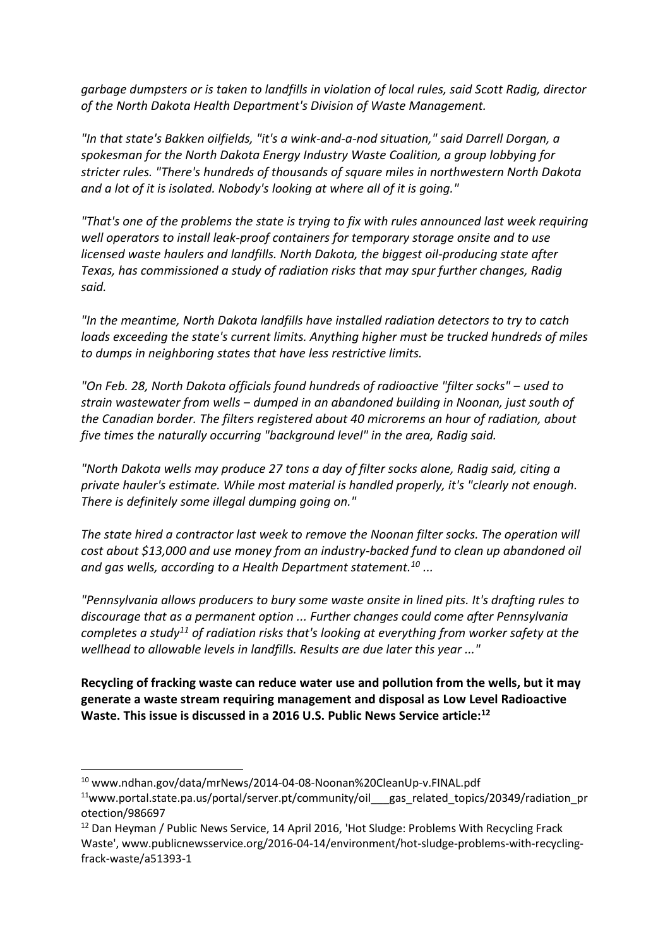*garbage dumpsters or is taken to landfills in violation of local rules, said Scott Radig, director of the North Dakota Health Department's Division of Waste Management.*

*"In that state's Bakken oilfields, "it's a wink-and-a-nod situation," said Darrell Dorgan, a spokesman for the North Dakota Energy Industry Waste Coalition, a group lobbying for stricter rules. "There's hundreds of thousands of square miles in northwestern North Dakota and a lot of it is isolated. Nobody's looking at where all of it is going."*

*"That's one of the problems the state is trying to fix with rules announced last week requiring well operators to install leak-proof containers for temporary storage onsite and to use licensed waste haulers and landfills. North Dakota, the biggest oil-producing state after Texas, has commissioned a study of radiation risks that may spur further changes, Radig said.*

*"In the meantime, North Dakota landfills have installed radiation detectors to try to catch loads exceeding the state's current limits. Anything higher must be trucked hundreds of miles to dumps in neighboring states that have less restrictive limits.*

*"On Feb. 28, North Dakota officials found hundreds of radioactive "filter socks" ‒ used to strain wastewater from wells ‒ dumped in an abandoned building in Noonan, just south of the Canadian border. The filters registered about 40 microrems an hour of radiation, about five times the naturally occurring "background level" in the area, Radig said.*

*"North Dakota wells may produce 27 tons a day of filter socks alone, Radig said, citing a private hauler's estimate. While most material is handled properly, it's "clearly not enough. There is definitely some illegal dumping going on."*

*The state hired a contractor last week to remove the Noonan filter socks. The operation will cost about \$13,000 and use money from an industry-backed fund to clean up abandoned oil and gas wells, according to a Health Department statement.<sup>10</sup> ...* 

*"Pennsylvania allows producers to bury some waste onsite in lined pits. It's drafting rules to discourage that as a permanent option ... Further changes could come after Pennsylvania completes a study<sup>11</sup> of radiation risks that's looking at everything from worker safety at the wellhead to allowable levels in landfills. Results are due later this year ..."*

**Recycling of fracking waste can reduce water use and pollution from the wells, but it may generate a waste stream requiring management and disposal as Low Level Radioactive Waste. This issue is discussed in a 2016 U.S. Public News Service article:<sup>12</sup>**

<sup>10</sup> www.ndhan.gov/data/mrNews/2014-04-08-Noonan%20CleanUp-v.FINAL.pdf

 $11$ www.portal.state.pa.us/portal/server.pt/community/oil gas related topics/20349/radiation pr otection/986697

<sup>&</sup>lt;sup>12</sup> Dan Heyman / Public News Service, 14 April 2016, 'Hot Sludge: Problems With Recycling Frack Waste', www.publicnewsservice.org/2016-04-14/environment/hot-sludge-problems-with-recyclingfrack-waste/a51393-1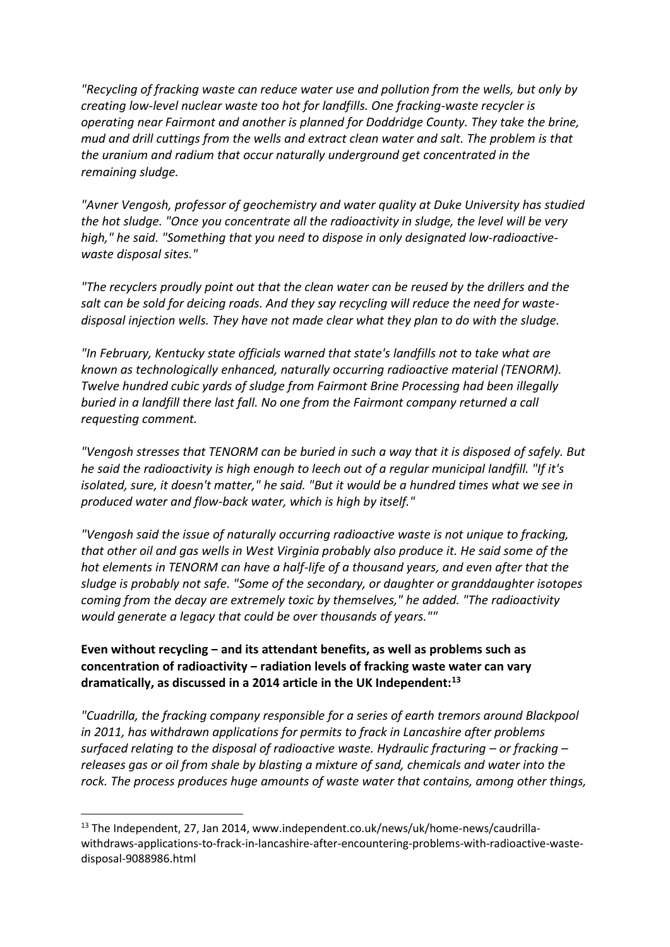*"Recycling of fracking waste can reduce water use and pollution from the wells, but only by creating low-level nuclear waste too hot for landfills. One fracking-waste recycler is operating near Fairmont and another is planned for Doddridge County. They take the brine, mud and drill cuttings from the wells and extract clean water and salt. The problem is that the uranium and radium that occur naturally underground get concentrated in the remaining sludge.*

*"Avner Vengosh, professor of geochemistry and water quality at Duke University has studied the hot sludge. "Once you concentrate all the radioactivity in sludge, the level will be very high," he said. "Something that you need to dispose in only designated low-radioactivewaste disposal sites."*

*"The recyclers proudly point out that the clean water can be reused by the drillers and the salt can be sold for deicing roads. And they say recycling will reduce the need for wastedisposal injection wells. They have not made clear what they plan to do with the sludge.*

*"In February, Kentucky state officials warned that state's landfills not to take what are known as technologically enhanced, naturally occurring radioactive material (TENORM). Twelve hundred cubic yards of sludge from Fairmont Brine Processing had been illegally buried in a landfill there last fall. No one from the Fairmont company returned a call requesting comment.*

*"Vengosh stresses that TENORM can be buried in such a way that it is disposed of safely. But he said the radioactivity is high enough to leech out of a regular municipal landfill. "If it's isolated, sure, it doesn't matter," he said. "But it would be a hundred times what we see in produced water and flow-back water, which is high by itself."*

*"Vengosh said the issue of naturally occurring radioactive waste is not unique to fracking, that other oil and gas wells in West Virginia probably also produce it. He said some of the hot elements in TENORM can have a half-life of a thousand years, and even after that the sludge is probably not safe. "Some of the secondary, or daughter or granddaughter isotopes coming from the decay are extremely toxic by themselves," he added. "The radioactivity would generate a legacy that could be over thousands of years.""*

Even without recycling - and its attendant benefits, as well as problems such as **concentration of radioactivity ‒ radiation levels of fracking waste water can vary dramatically, as discussed in a 2014 article in the UK Independent:<sup>13</sup>**

<u>.</u>

*"Cuadrilla, the fracking company responsible for a series of earth tremors around Blackpool in 2011, has withdrawn applications for permits to frack in Lancashire after problems surfaced relating to the disposal of radioactive waste. Hydraulic fracturing – or fracking – releases gas or oil from shale by blasting a mixture of sand, chemicals and water into the rock. The process produces huge amounts of waste water that contains, among other things,* 

<sup>&</sup>lt;sup>13</sup> The Independent, 27, Jan 2014, www.independent.co.uk/news/uk/home-news/caudrillawithdraws-applications-to-frack-in-lancashire-after-encountering-problems-with-radioactive-wastedisposal-9088986.html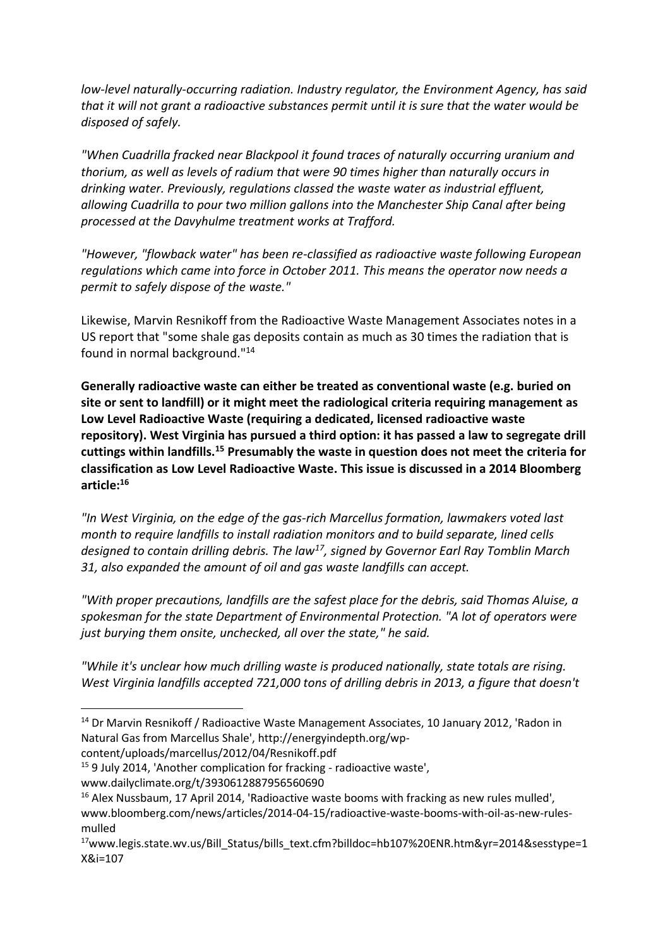*low-level naturally-occurring radiation. Industry regulator, the Environment Agency, has said that it will not grant a radioactive substances permit until it is sure that the water would be disposed of safely.*

*"When Cuadrilla fracked near Blackpool it found traces of naturally occurring uranium and thorium, as well as levels of radium that were 90 times higher than naturally occurs in drinking water. Previously, regulations classed the waste water as industrial effluent, allowing Cuadrilla to pour two million gallons into the Manchester Ship Canal after being processed at the Davyhulme treatment works at Trafford.*

*"However, "flowback water" has been re-classified as radioactive waste following European regulations which came into force in October 2011. This means the operator now needs a permit to safely dispose of the waste."*

Likewise, Marvin Resnikoff from the Radioactive Waste Management Associates notes in a US report that "some shale gas deposits contain as much as 30 times the radiation that is found in normal background."<sup>14</sup>

**Generally radioactive waste can either be treated as conventional waste (e.g. buried on site or sent to landfill) or it might meet the radiological criteria requiring management as Low Level Radioactive Waste (requiring a dedicated, licensed radioactive waste repository). West Virginia has pursued a third option: it has passed a law to segregate drill cuttings within landfills.<sup>15</sup> Presumably the waste in question does not meet the criteria for classification as Low Level Radioactive Waste. This issue is discussed in a 2014 Bloomberg article:<sup>16</sup>**

*"In West Virginia, on the edge of the gas-rich Marcellus formation, lawmakers voted last month to require landfills to install radiation monitors and to build separate, lined cells designed to contain drilling debris. The law<sup>17</sup>, signed by Governor Earl Ray Tomblin March 31, also expanded the amount of oil and gas waste landfills can accept.*

*"With proper precautions, landfills are the safest place for the debris, said Thomas Aluise, a spokesman for the state Department of Environmental Protection. "A lot of operators were just burying them onsite, unchecked, all over the state," he said.*

*"While it's unclear how much drilling waste is produced nationally, state totals are rising. West Virginia landfills accepted 721,000 tons of drilling debris in 2013, a figure that doesn't* 

content/uploads/marcellus/2012/04/Resnikoff.pdf

1

<sup>15</sup> 9 July 2014, 'Another complication for fracking - radioactive waste', www.dailyclimate.org/t/3930612887956560690

<sup>&</sup>lt;sup>14</sup> Dr Marvin Resnikoff / Radioactive Waste Management Associates, 10 January 2012, 'Radon in Natural Gas from Marcellus Shale', http://energyindepth.org/wp-

 $16$  Alex Nussbaum, 17 April 2014, 'Radioactive waste booms with fracking as new rules mulled', www.bloomberg.com/news/articles/2014-04-15/radioactive-waste-booms-with-oil-as-new-rulesmulled

<sup>&</sup>lt;sup>17</sup>www.legis.state.wv.us/Bill\_Status/bills\_text.cfm?billdoc=hb107%20ENR.htm&yr=2014&sesstype=1 X&i=107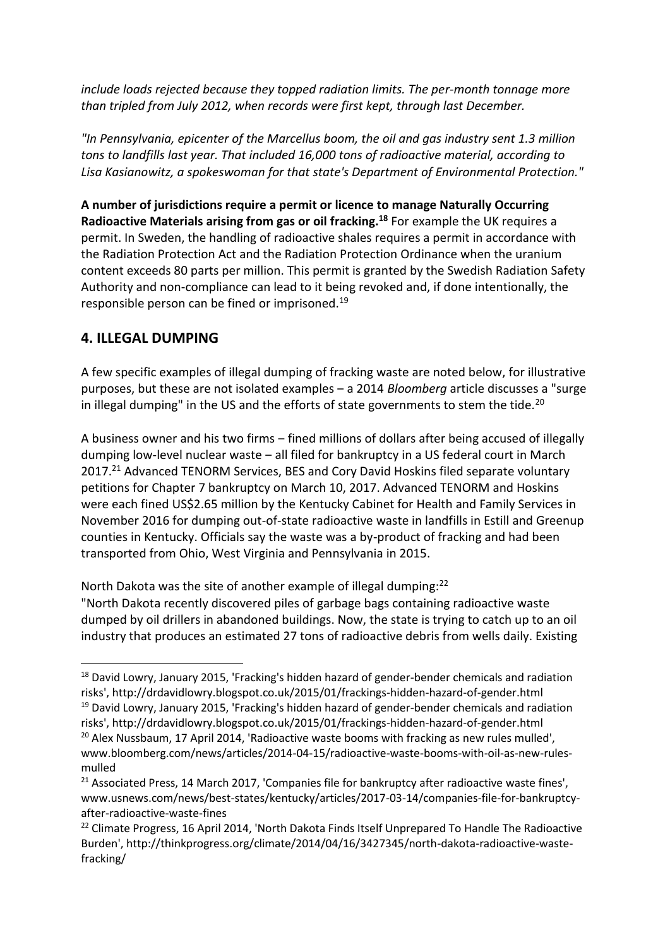*include loads rejected because they topped radiation limits. The per-month tonnage more than tripled from July 2012, when records were first kept, through last December.*

*"In Pennsylvania, epicenter of the Marcellus boom, the oil and gas industry sent 1.3 million tons to landfills last year. That included 16,000 tons of radioactive material, according to Lisa Kasianowitz, a spokeswoman for that state's Department of Environmental Protection."*

**A number of jurisdictions require a permit or licence to manage Naturally Occurring Radioactive Materials arising from gas or oil fracking.<sup>18</sup>** For example the UK requires a permit. In Sweden, the handling of radioactive shales requires a permit in accordance with the Radiation Protection Act and the Radiation Protection Ordinance when the uranium content exceeds 80 parts per million. This permit is granted by the Swedish Radiation Safety Authority and non-compliance can lead to it being revoked and, if done intentionally, the responsible person can be fined or imprisoned.<sup>19</sup>

### **4. ILLEGAL DUMPING**

1

A few specific examples of illegal dumping of fracking waste are noted below, for illustrative purposes, but these are not isolated examples ‒ a 2014 *Bloomberg* article discusses a "surge in illegal dumping" in the US and the efforts of state governments to stem the tide.<sup>20</sup>

A business owner and his two firms – fined millions of dollars after being accused of illegally dumping low-level nuclear waste – all filed for bankruptcy in a US federal court in March 2017.<sup>21</sup> Advanced TENORM Services, BES and Cory David Hoskins filed separate voluntary petitions for Chapter 7 bankruptcy on March 10, 2017. Advanced TENORM and Hoskins were each fined US\$2.65 million by the Kentucky Cabinet for Health and Family Services in November 2016 for dumping out-of-state radioactive waste in landfills in Estill and Greenup counties in Kentucky. Officials say the waste was a by-product of fracking and had been transported from Ohio, West Virginia and Pennsylvania in 2015.

North Dakota was the site of another example of illegal dumping:<sup>22</sup> "North Dakota recently discovered piles of garbage bags containing radioactive waste dumped by oil drillers in abandoned buildings. Now, the state is trying to catch up to an oil industry that produces an estimated 27 tons of radioactive debris from wells daily. Existing

<sup>&</sup>lt;sup>18</sup> David Lowry, January 2015, 'Fracking's hidden hazard of gender-bender chemicals and radiation risks', http://drdavidlowry.blogspot.co.uk/2015/01/frackings-hidden-hazard-of-gender.html <sup>19</sup> David Lowry, January 2015, 'Fracking's hidden hazard of gender-bender chemicals and radiation risks', http://drdavidlowry.blogspot.co.uk/2015/01/frackings-hidden-hazard-of-gender.html

<sup>&</sup>lt;sup>20</sup> Alex Nussbaum, 17 April 2014, 'Radioactive waste booms with fracking as new rules mulled', www.bloomberg.com/news/articles/2014-04-15/radioactive-waste-booms-with-oil-as-new-rulesmulled

 $21$  Associated Press, 14 March 2017, 'Companies file for bankruptcy after radioactive waste fines', www.usnews.com/news/best-states/kentucky/articles/2017-03-14/companies-file-for-bankruptcyafter-radioactive-waste-fines

<sup>&</sup>lt;sup>22</sup> Climate Progress, 16 April 2014, 'North Dakota Finds Itself Unprepared To Handle The Radioactive Burden', http://thinkprogress.org/climate/2014/04/16/3427345/north-dakota-radioactive-wastefracking/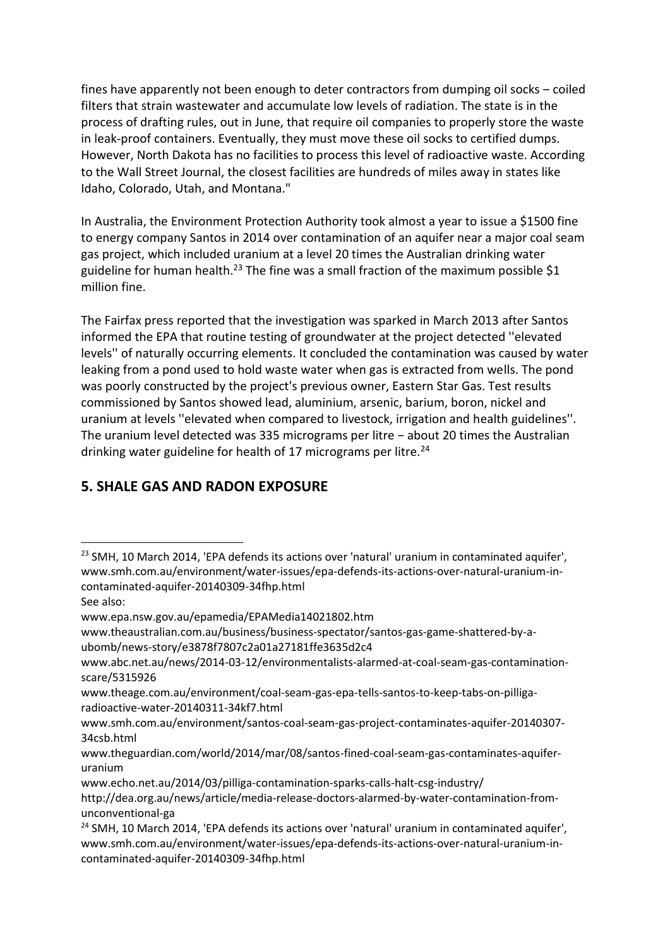fines have apparently not been enough to deter contractors from dumping oil socks – coiled filters that strain wastewater and accumulate low levels of radiation. The state is in the process of drafting rules, out in June, that require oil companies to properly store the waste in leak-proof containers. Eventually, they must move these oil socks to certified dumps. However, North Dakota has no facilities to process this level of radioactive waste. According to the Wall Street Journal, the closest facilities are hundreds of miles away in states like Idaho, Colorado, Utah, and Montana."

In Australia, the Environment Protection Authority took almost a year to issue a \$1500 fine to energy company Santos in 2014 over contamination of an aquifer near a major coal seam gas project, which included uranium at a level 20 times the Australian drinking water guideline for human health.<sup>23</sup> The fine was a small fraction of the maximum possible \$1 million fine.

The Fairfax press reported that the investigation was sparked in March 2013 after Santos informed the EPA that routine testing of groundwater at the project detected ''elevated levels'' of naturally occurring elements. It concluded the contamination was caused by water leaking from a pond used to hold waste water when gas is extracted from wells. The pond was poorly constructed by the project's previous owner, Eastern Star Gas. Test results commissioned by Santos showed lead, aluminium, arsenic, barium, boron, nickel and uranium at levels ''elevated when compared to livestock, irrigation and health guidelines''. The uranium level detected was 335 micrograms per litre − about 20 times the Australian drinking water guideline for health of 17 micrograms per litre.<sup>24</sup>

# **5. SHALE GAS AND RADON EXPOSURE**

 $23$  SMH, 10 March 2014, 'EPA defends its actions over 'natural' uranium in contaminated aquifer', www.smh.com.au/environment/water-issues/epa-defends-its-actions-over-natural-uranium-incontaminated-aquifer-20140309-34fhp.html

See also:

www.epa.nsw.gov.au/epamedia/EPAMedia14021802.htm

www.theaustralian.com.au/business/business-spectator/santos-gas-game-shattered-by-aubomb/news-story/e3878f7807c2a01a27181ffe3635d2c4

www.abc.net.au/news/2014-03-12/environmentalists-alarmed-at-coal-seam-gas-contaminationscare/5315926

www.theage.com.au/environment/coal-seam-gas-epa-tells-santos-to-keep-tabs-on-pilligaradioactive-water-20140311-34kf7.html

www.smh.com.au/environment/santos-coal-seam-gas-project-contaminates-aquifer-20140307- 34csb.html

www.theguardian.com/world/2014/mar/08/santos-fined-coal-seam-gas-contaminates-aquiferuranium

www.echo.net.au/2014/03/pilliga-contamination-sparks-calls-halt-csg-industry/ http://dea.org.au/news/article/media-release-doctors-alarmed-by-water-contamination-fromunconventional-ga

<sup>&</sup>lt;sup>24</sup> SMH, 10 March 2014, 'EPA defends its actions over 'natural' uranium in contaminated aquifer', www.smh.com.au/environment/water-issues/epa-defends-its-actions-over-natural-uranium-incontaminated-aquifer-20140309-34fhp.html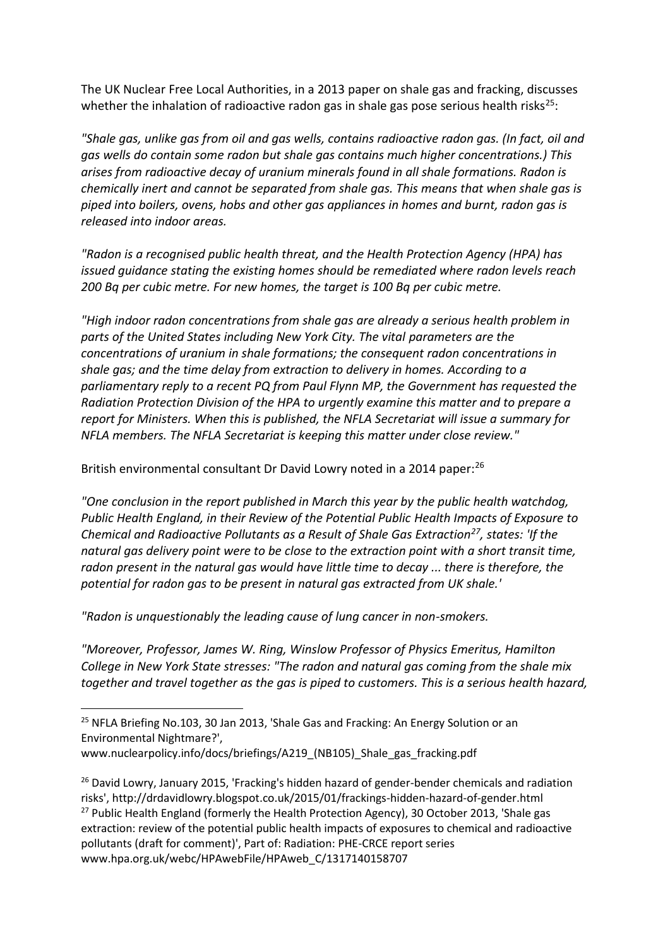The UK Nuclear Free Local Authorities, in a 2013 paper on shale gas and fracking, discusses whether the inhalation of radioactive radon gas in shale gas pose serious health risks<sup>25</sup>:

*"Shale gas, unlike gas from oil and gas wells, contains radioactive radon gas. (In fact, oil and gas wells do contain some radon but shale gas contains much higher concentrations.) This arises from radioactive decay of uranium minerals found in all shale formations. Radon is chemically inert and cannot be separated from shale gas. This means that when shale gas is piped into boilers, ovens, hobs and other gas appliances in homes and burnt, radon gas is released into indoor areas.*

*"Radon is a recognised public health threat, and the Health Protection Agency (HPA) has issued guidance stating the existing homes should be remediated where radon levels reach 200 Bq per cubic metre. For new homes, the target is 100 Bq per cubic metre.*

*"High indoor radon concentrations from shale gas are already a serious health problem in parts of the United States including New York City. The vital parameters are the concentrations of uranium in shale formations; the consequent radon concentrations in shale gas; and the time delay from extraction to delivery in homes. According to a parliamentary reply to a recent PQ from Paul Flynn MP, the Government has requested the Radiation Protection Division of the HPA to urgently examine this matter and to prepare a report for Ministers. When this is published, the NFLA Secretariat will issue a summary for NFLA members. The NFLA Secretariat is keeping this matter under close review."*

British environmental consultant Dr David Lowry noted in a 2014 paper:<sup>26</sup>

*"One conclusion in the report published in March this year by the public health watchdog, Public Health England, in their Review of the Potential Public Health Impacts of Exposure to Chemical and Radioactive Pollutants as a Result of Shale Gas Extraction<sup>27</sup>, states: 'If the natural gas delivery point were to be close to the extraction point with a short transit time, radon present in the natural gas would have little time to decay ... there is therefore, the potential for radon gas to be present in natural gas extracted from UK shale.'*

*"Radon is unquestionably the leading cause of lung cancer in non-smokers.*

*"Moreover, Professor, James W. Ring, Winslow Professor of Physics Emeritus, Hamilton College in New York State stresses: "The radon and natural gas coming from the shale mix together and travel together as the gas is piped to customers. This is a serious health hazard,* 

<sup>&</sup>lt;sup>25</sup> NFLA Briefing No.103, 30 Jan 2013, 'Shale Gas and Fracking: An Energy Solution or an Environmental Nightmare?',

www.nuclearpolicy.info/docs/briefings/A219 (NB105) Shale gas fracking.pdf

<sup>&</sup>lt;sup>26</sup> David Lowry, January 2015, 'Fracking's hidden hazard of gender-bender chemicals and radiation risks', http://drdavidlowry.blogspot.co.uk/2015/01/frackings-hidden-hazard-of-gender.html <sup>27</sup> Public Health England (formerly the Health Protection Agency), 30 October 2013, 'Shale gas extraction: review of the potential public health impacts of exposures to chemical and radioactive pollutants (draft for comment)', Part of: Radiation: PHE-CRCE report series www.hpa.org.uk/webc/HPAwebFile/HPAweb\_C/1317140158707